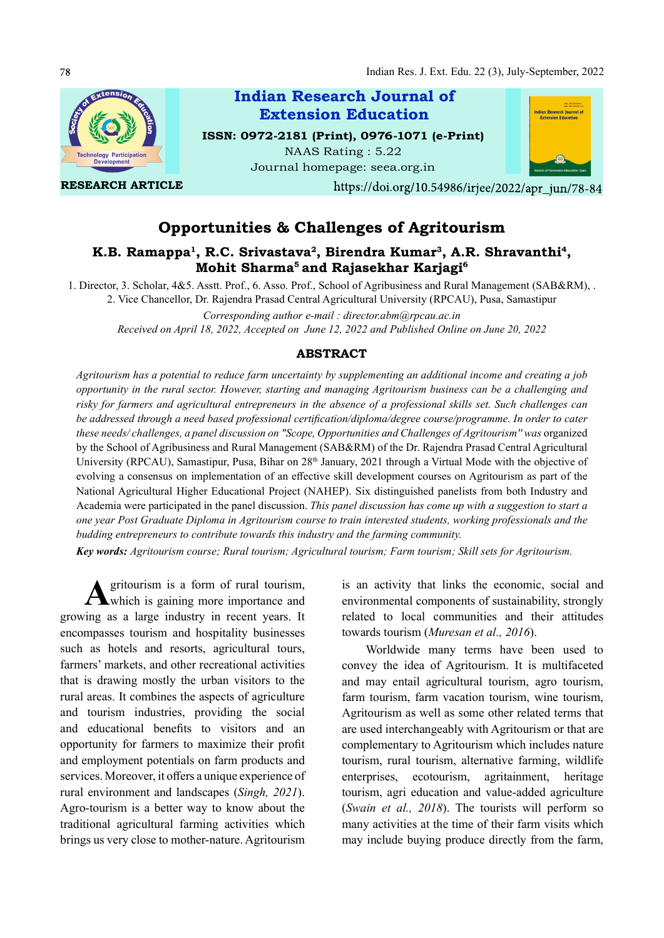

https://doi.org/10.54986/irjee/2022/apr jun/78-84

# Opportunities & Challenges of Agritourism

## K.B. Ramappa<sup>1</sup>, R.C. Srivastava<sup>2</sup>, Birendra Kumar<sup>3</sup>, A.R. Shravanthi<sup>4</sup>, Mohit Sharma<sup>5</sup> and Rajasekhar Karjagi<sup>6</sup>

1. Director, 3. Scholar, 4&5. Asstt. Prof., 6. Asso. Prof., School of Agribusiness and Rural Management (SAB&RM), . 2. Vice Chancellor, Dr. Rajendra Prasad Central Agricultural University (RPCAU), Pusa, Samastipur

Corresponding author e-mail : director.abm@rpcau.ac.in Received on April 18, 2022, Accepted on June 12, 2022 and Published Online on June 20, 2022

### ABSTRACT

Agritourism has a potential to reduce farm uncertainty by supplementing an additional income and creating a job opportunity in the rural sector. However, starting and managing Agritourism business can be a challenging and risky for farmers and agricultural entrepreneurs in the absence of a professional skills set. Such challenges can be addressed through a need based professional certification/diploma/degree course/programme. In order to cater these needs/ challenges, a panel discussion on "Scope, Opportunities and Challenges of Agritourism'' was organized by the School of Agribusiness and Rural Management (SAB&RM) of the Dr. Rajendra Prasad Central Agricultural University (RPCAU), Samastipur, Pusa, Bihar on 28<sup>th</sup> January, 2021 through a Virtual Mode with the objective of evolving a consensus on implementation of an effective skill development courses on Agritourism as part of the National Agricultural Higher Educational Project (NAHEP). Six distinguished panelists from both Industry and Academia were participated in the panel discussion. This panel discussion has come up with a suggestion to start a one year Post Graduate Diploma in Agritourism course to train interested students, working professionals and the budding entrepreneurs to contribute towards this industry and the farming community.

Key words: Agritourism course; Rural tourism; Agricultural tourism; Farm tourism; Skill sets for Agritourism.

A gritourism is a form of rural tourism,<br>which is gaining more importance and which is gaining more importance and growing as a large industry in recent years. It encompasses tourism and hospitality businesses such as hotels and resorts, agricultural tours, farmers' markets, and other recreational activities that is drawing mostly the urban visitors to the rural areas. It combines the aspects of agriculture and tourism industries, providing the social and educational benefits to visitors and an opportunity for farmers to maximize their profit and employment potentials on farm products and services. Moreover, it offers a unique experience of rural environment and landscapes (Singh, 2021). Agro-tourism is a better way to know about the traditional agricultural farming activities which brings us very close to mother-nature. Agritourism

is an activity that links the economic, social and environmental components of sustainability, strongly related to local communities and their attitudes towards tourism (Muresan et al., 2016).

Worldwide many terms have been used to convey the idea of Agritourism. It is multifaceted and may entail agricultural tourism, agro tourism, farm tourism, farm vacation tourism, wine tourism, Agritourism as well as some other related terms that are used interchangeably with Agritourism or that are complementary to Agritourism which includes nature tourism, rural tourism, alternative farming, wildlife enterprises, ecotourism, agritainment, heritage tourism, agri education and value-added agriculture (Swain et al., 2018). The tourists will perform so many activities at the time of their farm visits which may include buying produce directly from the farm,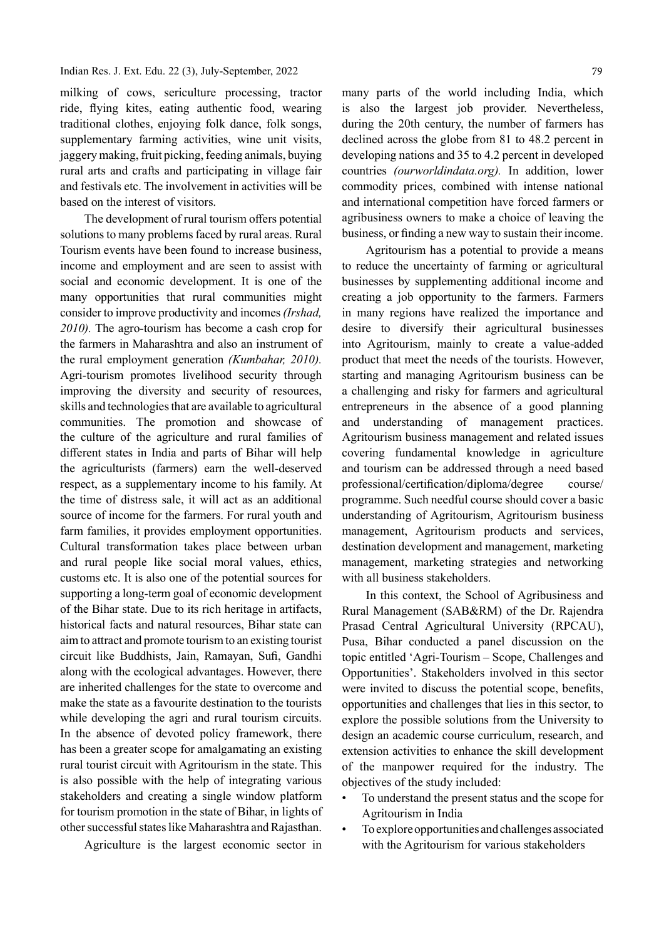#### Indian Res. J. Ext. Edu. 22 (3), July-September, 2022

milking of cows, sericulture processing, tractor ride, flying kites, eating authentic food, wearing traditional clothes, enjoying folk dance, folk songs, supplementary farming activities, wine unit visits, jaggery making, fruit picking, feeding animals, buying rural arts and crafts and participating in village fair and festivals etc. The involvement in activities will be based on the interest of visitors.

The development of rural tourism offers potential solutions to many problems faced by rural areas. Rural Tourism events have been found to increase business, income and employment and are seen to assist with social and economic development. It is one of the many opportunities that rural communities might consider to improve productivity and incomes (Irshad, 2010). The agro-tourism has become a cash crop for the farmers in Maharashtra and also an instrument of the rural employment generation (Kumbahar, 2010). Agri-tourism promotes livelihood security through improving the diversity and security of resources, skills and technologies that are available to agricultural communities. The promotion and showcase of the culture of the agriculture and rural families of different states in India and parts of Bihar will help the agriculturists (farmers) earn the well-deserved respect, as a supplementary income to his family. At the time of distress sale, it will act as an additional source of income for the farmers. For rural youth and farm families, it provides employment opportunities. Cultural transformation takes place between urban and rural people like social moral values, ethics, customs etc. It is also one of the potential sources for supporting a long-term goal of economic development of the Bihar state. Due to its rich heritage in artifacts, historical facts and natural resources, Bihar state can aim to attract and promote tourism to an existing tourist circuit like Buddhists, Jain, Ramayan, Sufi, Gandhi along with the ecological advantages. However, there are inherited challenges for the state to overcome and make the state as a favourite destination to the tourists while developing the agri and rural tourism circuits. In the absence of devoted policy framework, there has been a greater scope for amalgamating an existing rural tourist circuit with Agritourism in the state. This is also possible with the help of integrating various stakeholders and creating a single window platform for tourism promotion in the state of Bihar, in lights of other successful states like Maharashtra and Rajasthan.

Agriculture is the largest economic sector in

many parts of the world including India, which is also the largest job provider. Nevertheless, during the 20th century, the number of farmers has declined across the globe from 81 to 48.2 percent in developing nations and 35 to 4.2 percent in developed countries (ourworldindata.org). In addition, lower commodity prices, combined with intense national and international competition have forced farmers or agribusiness owners to make a choice of leaving the business, or finding a new way to sustain their income.

Agritourism has a potential to provide a means to reduce the uncertainty of farming or agricultural businesses by supplementing additional income and creating a job opportunity to the farmers. Farmers in many regions have realized the importance and desire to diversify their agricultural businesses into Agritourism, mainly to create a value-added product that meet the needs of the tourists. However, starting and managing Agritourism business can be a challenging and risky for farmers and agricultural entrepreneurs in the absence of a good planning and understanding of management practices. Agritourism business management and related issues covering fundamental knowledge in agriculture and tourism can be addressed through a need based professional/certification/diploma/degree course/ programme. Such needful course should cover a basic understanding of Agritourism, Agritourism business management, Agritourism products and services, destination development and management, marketing management, marketing strategies and networking with all business stakeholders.

In this context, the School of Agribusiness and Rural Management (SAB&RM) of the Dr. Rajendra Prasad Central Agricultural University (RPCAU), Pusa, Bihar conducted a panel discussion on the topic entitled 'Agri-Tourism – Scope, Challenges and Opportunities'. Stakeholders involved in this sector were invited to discuss the potential scope, benefits, opportunities and challenges that lies in this sector, to explore the possible solutions from the University to design an academic course curriculum, research, and extension activities to enhance the skill development of the manpower required for the industry. The objectives of the study included:

- To understand the present status and the scope for Agritourism in India
- To explore opportunities and challenges associated with the Agritourism for various stakeholders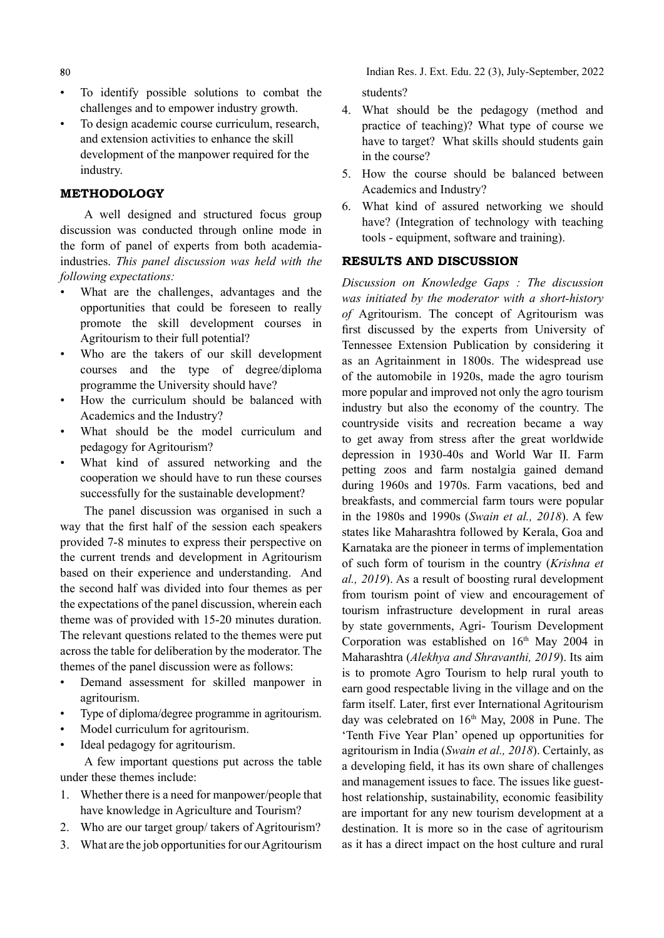- 80
- To identify possible solutions to combat the challenges and to empower industry growth.
- To design academic course curriculum, research, and extension activities to enhance the skill development of the manpower required for the industry.

### METHODOLOGY

A well designed and structured focus group discussion was conducted through online mode in the form of panel of experts from both academiaindustries. This panel discussion was held with the following expectations:

- What are the challenges, advantages and the opportunities that could be foreseen to really promote the skill development courses in Agritourism to their full potential?
- Who are the takers of our skill development courses and the type of degree/diploma programme the University should have?
- How the curriculum should be balanced with Academics and the Industry?
- What should be the model curriculum and pedagogy for Agritourism?
- What kind of assured networking and the cooperation we should have to run these courses successfully for the sustainable development?

The panel discussion was organised in such a way that the first half of the session each speakers provided 7-8 minutes to express their perspective on the current trends and development in Agritourism based on their experience and understanding. And the second half was divided into four themes as per the expectations of the panel discussion, wherein each theme was of provided with 15-20 minutes duration. The relevant questions related to the themes were put across the table for deliberation by the moderator. The themes of the panel discussion were as follows:

- Demand assessment for skilled manpower in agritourism.
- Type of diploma/degree programme in agritourism.
- Model curriculum for agritourism.
- Ideal pedagogy for agritourism.

A few important questions put across the table under these themes include:

- 1. Whether there is a need for manpower/people that have knowledge in Agriculture and Tourism?
- 2. Who are our target group/ takers of Agritourism?
- 3. What are the job opportunities for our Agritourism

Indian Res. J. Ext. Edu. 22 (3), July-September, 2022 students?

- 4. What should be the pedagogy (method and practice of teaching)? What type of course we have to target? What skills should students gain in the course?
- 5. How the course should be balanced between Academics and Industry?
- 6. What kind of assured networking we should have? (Integration of technology with teaching tools - equipment, software and training).

### RESULTS AND DISCUSSION

Discussion on Knowledge Gaps : The discussion was initiated by the moderator with a short-history of Agritourism. The concept of Agritourism was first discussed by the experts from University of Tennessee Extension Publication by considering it as an Agritainment in 1800s. The widespread use of the automobile in 1920s, made the agro tourism more popular and improved not only the agro tourism industry but also the economy of the country. The countryside visits and recreation became a way to get away from stress after the great worldwide depression in 1930-40s and World War II. Farm petting zoos and farm nostalgia gained demand during 1960s and 1970s. Farm vacations, bed and breakfasts, and commercial farm tours were popular in the 1980s and 1990s (Swain et al., 2018). A few states like Maharashtra followed by Kerala, Goa and Karnataka are the pioneer in terms of implementation of such form of tourism in the country (Krishna et al., 2019). As a result of boosting rural development from tourism point of view and encouragement of tourism infrastructure development in rural areas by state governments, Agri- Tourism Development Corporation was established on  $16<sup>th</sup>$  May 2004 in Maharashtra (Alekhya and Shravanthi, 2019). Its aim is to promote Agro Tourism to help rural youth to earn good respectable living in the village and on the farm itself. Later, first ever International Agritourism day was celebrated on  $16<sup>th</sup>$  May, 2008 in Pune. The 'Tenth Five Year Plan' opened up opportunities for agritourism in India (Swain et al., 2018). Certainly, as a developing field, it has its own share of challenges and management issues to face. The issues like guesthost relationship, sustainability, economic feasibility are important for any new tourism development at a destination. It is more so in the case of agritourism as it has a direct impact on the host culture and rural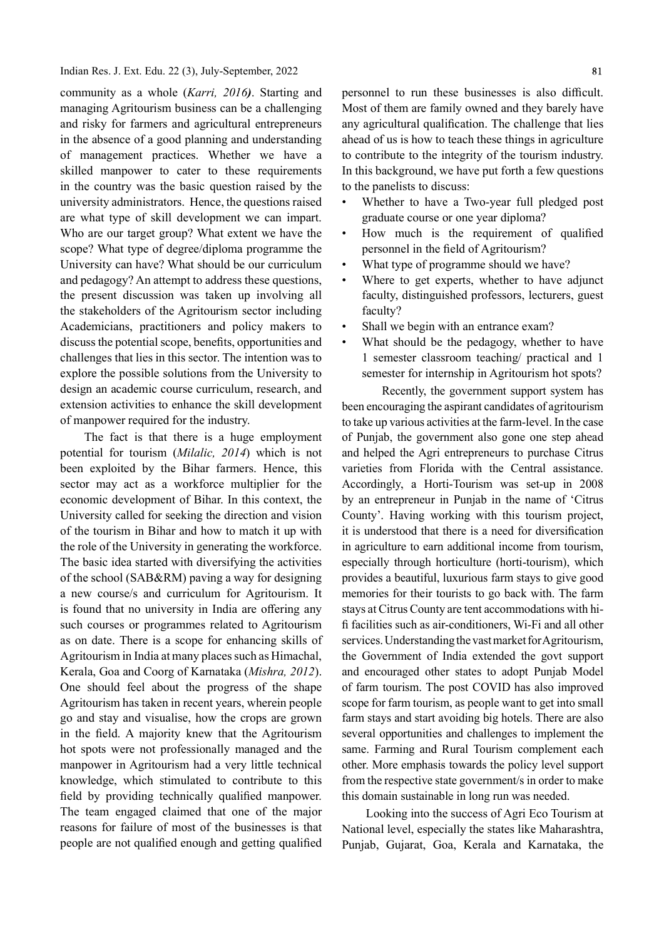#### Indian Res. J. Ext. Edu. 22 (3), July-September, 2022

community as a whole (Karri, 2016). Starting and managing Agritourism business can be a challenging and risky for farmers and agricultural entrepreneurs in the absence of a good planning and understanding of management practices. Whether we have a skilled manpower to cater to these requirements in the country was the basic question raised by the university administrators. Hence, the questions raised are what type of skill development we can impart. Who are our target group? What extent we have the scope? What type of degree/diploma programme the University can have? What should be our curriculum and pedagogy? An attempt to address these questions, the present discussion was taken up involving all the stakeholders of the Agritourism sector including Academicians, practitioners and policy makers to discuss the potential scope, benefits, opportunities and challenges that lies in this sector. The intention was to explore the possible solutions from the University to design an academic course curriculum, research, and extension activities to enhance the skill development of manpower required for the industry.

The fact is that there is a huge employment potential for tourism (Milalic, 2014) which is not been exploited by the Bihar farmers. Hence, this sector may act as a workforce multiplier for the economic development of Bihar. In this context, the University called for seeking the direction and vision of the tourism in Bihar and how to match it up with the role of the University in generating the workforce. The basic idea started with diversifying the activities of the school (SAB&RM) paving a way for designing a new course/s and curriculum for Agritourism. It is found that no university in India are offering any such courses or programmes related to Agritourism as on date. There is a scope for enhancing skills of Agritourism in India at many places such as Himachal, Kerala, Goa and Coorg of Karnataka (Mishra, 2012). One should feel about the progress of the shape Agritourism has taken in recent years, wherein people go and stay and visualise, how the crops are grown in the field. A majority knew that the Agritourism hot spots were not professionally managed and the manpower in Agritourism had a very little technical knowledge, which stimulated to contribute to this field by providing technically qualified manpower. The team engaged claimed that one of the major reasons for failure of most of the businesses is that people are not qualified enough and getting qualified

personnel to run these businesses is also difficult. Most of them are family owned and they barely have any agricultural qualification. The challenge that lies ahead of us is how to teach these things in agriculture to contribute to the integrity of the tourism industry. In this background, we have put forth a few questions to the panelists to discuss:

- Whether to have a Two-year full pledged post graduate course or one year diploma?
- How much is the requirement of qualified personnel in the field of Agritourism?
- What type of programme should we have?
- Where to get experts, whether to have adjunct faculty, distinguished professors, lecturers, guest faculty?
- Shall we begin with an entrance exam?
- What should be the pedagogy, whether to have 1 semester classroom teaching/ practical and 1 semester for internship in Agritourism hot spots?

Recently, the government support system has been encouraging the aspirant candidates of agritourism to take up various activities at the farm-level. In the case of Punjab, the government also gone one step ahead and helped the Agri entrepreneurs to purchase Citrus varieties from Florida with the Central assistance. Accordingly, a Horti-Tourism was set-up in 2008 by an entrepreneur in Punjab in the name of 'Citrus County'. Having working with this tourism project, it is understood that there is a need for diversification in agriculture to earn additional income from tourism, especially through horticulture (horti-tourism), which provides a beautiful, luxurious farm stays to give good memories for their tourists to go back with. The farm stays at Citrus County are tent accommodations with hifi facilities such as air-conditioners, Wi-Fi and all other services. Understanding the vast market for Agritourism, the Government of India extended the govt support and encouraged other states to adopt Punjab Model of farm tourism. The post COVID has also improved scope for farm tourism, as people want to get into small farm stays and start avoiding big hotels. There are also several opportunities and challenges to implement the same. Farming and Rural Tourism complement each other. More emphasis towards the policy level support from the respective state government/s in order to make this domain sustainable in long run was needed.

Looking into the success of Agri Eco Tourism at National level, especially the states like Maharashtra, Punjab, Gujarat, Goa, Kerala and Karnataka, the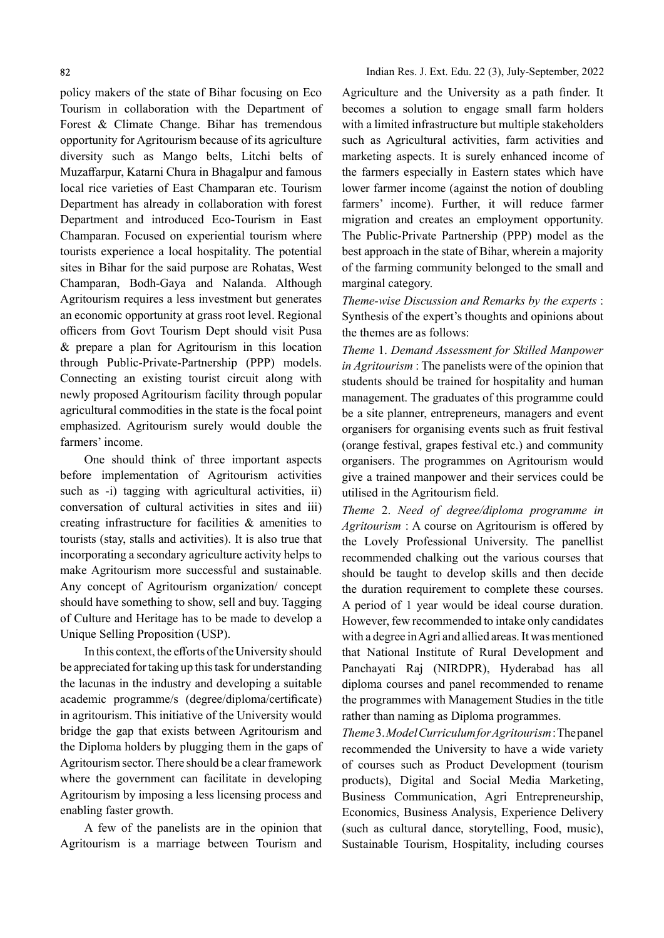policy makers of the state of Bihar focusing on Eco Tourism in collaboration with the Department of Forest & Climate Change. Bihar has tremendous opportunity for Agritourism because of its agriculture diversity such as Mango belts, Litchi belts of Muzaffarpur, Katarni Chura in Bhagalpur and famous local rice varieties of East Champaran etc. Tourism Department has already in collaboration with forest Department and introduced Eco-Tourism in East Champaran. Focused on experiential tourism where tourists experience a local hospitality. The potential sites in Bihar for the said purpose are Rohatas, West Champaran, Bodh-Gaya and Nalanda. Although Agritourism requires a less investment but generates an economic opportunity at grass root level. Regional officers from Govt Tourism Dept should visit Pusa & prepare a plan for Agritourism in this location through Public-Private-Partnership (PPP) models. Connecting an existing tourist circuit along with newly proposed Agritourism facility through popular agricultural commodities in the state is the focal point emphasized. Agritourism surely would double the farmers' income.

One should think of three important aspects before implementation of Agritourism activities such as -i) tagging with agricultural activities, ii) conversation of cultural activities in sites and iii) creating infrastructure for facilities & amenities to tourists (stay, stalls and activities). It is also true that incorporating a secondary agriculture activity helps to make Agritourism more successful and sustainable. Any concept of Agritourism organization/ concept should have something to show, sell and buy. Tagging of Culture and Heritage has to be made to develop a Unique Selling Proposition (USP).

In this context, the efforts of the University should be appreciated for taking up this task for understanding the lacunas in the industry and developing a suitable academic programme/s (degree/diploma/certificate) in agritourism. This initiative of the University would bridge the gap that exists between Agritourism and the Diploma holders by plugging them in the gaps of Agritourism sector. There should be a clear framework where the government can facilitate in developing Agritourism by imposing a less licensing process and enabling faster growth.

A few of the panelists are in the opinion that Agritourism is a marriage between Tourism and

Agriculture and the University as a path finder. It becomes a solution to engage small farm holders with a limited infrastructure but multiple stakeholders such as Agricultural activities, farm activities and marketing aspects. It is surely enhanced income of the farmers especially in Eastern states which have lower farmer income (against the notion of doubling farmers' income). Further, it will reduce farmer migration and creates an employment opportunity. The Public-Private Partnership (PPP) model as the best approach in the state of Bihar, wherein a majority of the farming community belonged to the small and marginal category.

Theme-wise Discussion and Remarks by the experts : Synthesis of the expert's thoughts and opinions about the themes are as follows:

Theme 1. Demand Assessment for Skilled Manpower in Agritourism : The panelists were of the opinion that students should be trained for hospitality and human management. The graduates of this programme could be a site planner, entrepreneurs, managers and event organisers for organising events such as fruit festival (orange festival, grapes festival etc.) and community organisers. The programmes on Agritourism would give a trained manpower and their services could be utilised in the Agritourism field.

Theme 2. Need of degree/diploma programme in  $A$ gritourism : A course on Agritourism is offered by the Lovely Professional University. The panellist recommended chalking out the various courses that should be taught to develop skills and then decide the duration requirement to complete these courses. A period of 1 year would be ideal course duration. However, few recommended to intake only candidates with a degree in Agri and allied areas. It was mentioned that National Institute of Rural Development and Panchayati Raj (NIRDPR), Hyderabad has all diploma courses and panel recommended to rename the programmes with Management Studies in the title rather than naming as Diploma programmes.

Theme 3. Model Curriculum for Agritourism : The panel recommended the University to have a wide variety of courses such as Product Development (tourism products), Digital and Social Media Marketing, Business Communication, Agri Entrepreneurship, Economics, Business Analysis, Experience Delivery (such as cultural dance, storytelling, Food, music), Sustainable Tourism, Hospitality, including courses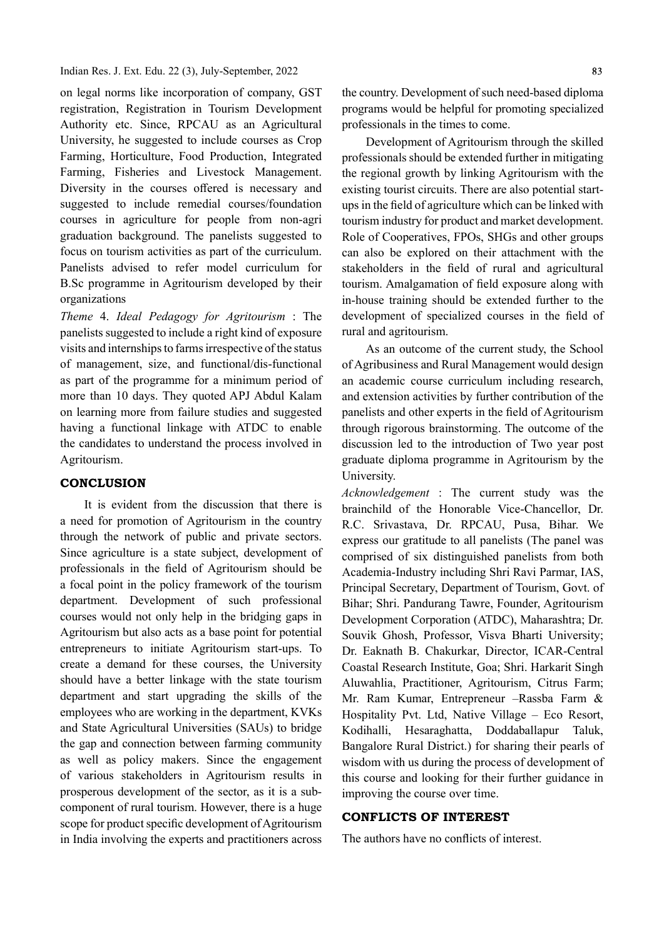Indian Res. J. Ext. Edu. 22 (3), July-September, 2022

on legal norms like incorporation of company, GST registration, Registration in Tourism Development Authority etc. Since, RPCAU as an Agricultural University, he suggested to include courses as Crop Farming, Horticulture, Food Production, Integrated Farming, Fisheries and Livestock Management. Diversity in the courses offered is necessary and suggested to include remedial courses/foundation courses in agriculture for people from non-agri graduation background. The panelists suggested to focus on tourism activities as part of the curriculum. Panelists advised to refer model curriculum for B.Sc programme in Agritourism developed by their organizations

Theme 4. Ideal Pedagogy for Agritourism : The panelists suggested to include a right kind of exposure visits and internships to farms irrespective of the status of management, size, and functional/dis-functional as part of the programme for a minimum period of more than 10 days. They quoted APJ Abdul Kalam on learning more from failure studies and suggested having a functional linkage with ATDC to enable the candidates to understand the process involved in Agritourism.

### **CONCLUSION**

It is evident from the discussion that there is a need for promotion of Agritourism in the country through the network of public and private sectors. Since agriculture is a state subject, development of professionals in the field of Agritourism should be a focal point in the policy framework of the tourism department. Development of such professional courses would not only help in the bridging gaps in Agritourism but also acts as a base point for potential entrepreneurs to initiate Agritourism start-ups. To create a demand for these courses, the University should have a better linkage with the state tourism department and start upgrading the skills of the employees who are working in the department, KVKs and State Agricultural Universities (SAUs) to bridge the gap and connection between farming community as well as policy makers. Since the engagement of various stakeholders in Agritourism results in prosperous development of the sector, as it is a subcomponent of rural tourism. However, there is a huge scope for product specific development of Agritourism in India involving the experts and practitioners across

the country. Development of such need-based diploma programs would be helpful for promoting specialized professionals in the times to come.

Development of Agritourism through the skilled professionals should be extended further in mitigating the regional growth by linking Agritourism with the existing tourist circuits. There are also potential startups in the field of agriculture which can be linked with tourism industry for product and market development. Role of Cooperatives, FPOs, SHGs and other groups can also be explored on their attachment with the stakeholders in the field of rural and agricultural tourism. Amalgamation of field exposure along with in-house training should be extended further to the development of specialized courses in the field of rural and agritourism.

As an outcome of the current study, the School of Agribusiness and Rural Management would design an academic course curriculum including research, and extension activities by further contribution of the panelists and other experts in the field of Agritourism through rigorous brainstorming. The outcome of the discussion led to the introduction of Two year post graduate diploma programme in Agritourism by the University.

Acknowledgement : The current study was the brainchild of the Honorable Vice-Chancellor, Dr. R.C. Srivastava, Dr. RPCAU, Pusa, Bihar. We express our gratitude to all panelists (The panel was comprised of six distinguished panelists from both Academia-Industry including Shri Ravi Parmar, IAS, Principal Secretary, Department of Tourism, Govt. of Bihar; Shri. Pandurang Tawre, Founder, Agritourism Development Corporation (ATDC), Maharashtra; Dr. Souvik Ghosh, Professor, Visva Bharti University; Dr. Eaknath B. Chakurkar, Director, ICAR-Central Coastal Research Institute, Goa; Shri. Harkarit Singh Aluwahlia, Practitioner, Agritourism, Citrus Farm; Mr. Ram Kumar, Entrepreneur –Rassba Farm & Hospitality Pvt. Ltd, Native Village – Eco Resort, Kodihalli, Hesaraghatta, Doddaballapur Taluk, Bangalore Rural District.) for sharing their pearls of wisdom with us during the process of development of this course and looking for their further guidance in improving the course over time.

## CONFLICTS OF INTEREST

The authors have no conflicts of interest.